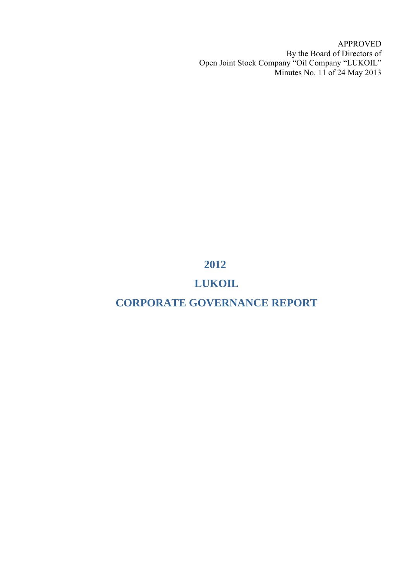APPROVED By the Board of Directors of Open Joint Stock Company "Oil Сompany "LUKOIL" Minutes No. 11 of 24 May 2013

# **2012**

# **LUKOIL**

# **CORPORATE GOVERNANCE REPORT**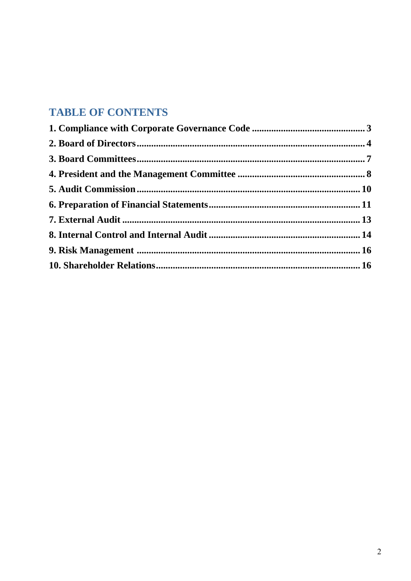# **TABLE OF CONTENTS**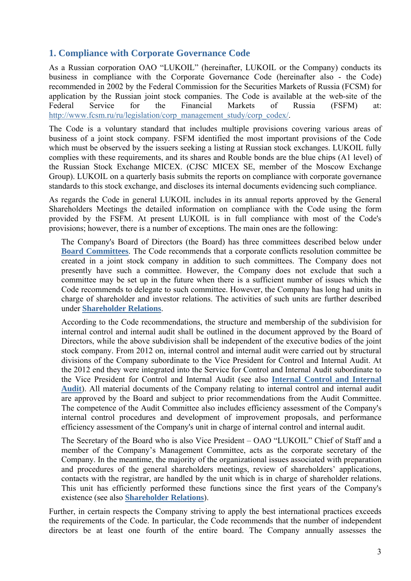### <span id="page-2-0"></span>**1. Compliance with Corporate Governance Code**

As a Russian corporation OAO "LUKOIL" (hereinafter, LUKOIL or the Company) conducts its business in compliance with the Corporate Governance Code (hereinafter also - the Code) recommended in 2002 by the Federal Commission for the Securities Markets of Russia (FCSM) for application by the Russian joint stock companies. The Code is available at the web-site of the Federal Service for the Financial Markets of Russia (FSFM) at: [http://www.fcsm.ru/ru/legislation/corp\\_management\\_study/corp\\_codex/](http://www.fcsm.ru/ru/legislation/corp_management_study/corp_codex/).

The Code is a voluntary standard that includes multiple provisions covering various areas of business of a joint stock company. FSFM identified the most important provisions of the Code which must be observed by the issuers seeking a listing at Russian stock exchanges. LUKOIL fully complies with these requirements, and its shares and Rouble bonds are the blue chips (A1 level) of the Russian Stock Exchange MICEX. (CJSC MICEX SE, member of the Moscow Exchange Group). LUKOIL on a quarterly basis submits the reports on compliance with corporate governance standards to this stock exchange, and discloses its internal documents evidencing such compliance.

As regards the Code in general LUKOIL includes in its annual reports approved by the General Shareholders Meetings the detailed information on compliance with the Code using the form provided by the FSFM. At present LUKOIL is in full compliance with most of the Code's provisions; however, there is a number of exceptions. The main ones are the following:

The Company's Board of Directors (the Board) has three committees described below under **[Board Committees](#page-6-0)**. The Code recommends that a corporate conflicts resolution committee be created in a joint stock company in addition to such committees. The Company does not presently have such a committee. However, the Company does not exclude that such a committee may be set up in the future when there is a sufficient number of issues which the Code recommends to delegate to such committee. However, the Company has long had units in charge of shareholder and investor relations. The activities of such units are further described under **[Shareholder Relations](#page-15-1)**.

According to the Code recommendations, the structure and membership of the subdivision for internal control and internal audit shall be outlined in the document approved by the Board of Directors, while the above subdivision shall be independent of the executive bodies of the joint stock company. From 2012 on, internal control and internal audit were carried out by structural divisions of the Company subordinate to the Vice President for Control and Internal Audit. At the 2012 end they were integrated into the Service for Control and Internal Audit subordinate to the Vice President for Control and Internal Audit (see also **[Internal Control and Internal](#page-13-0)  [Audit](#page-13-0)**). All material documents of the Company relating to internal control and internal audit are approved by the Board and subject to prior recommendations from the Audit Committee. The competence of the Audit Committee also includes efficiency assessment of the Company's internal control procedures and development of improvement proposals, and performance efficiency assessment of the Company's unit in charge of internal control and internal audit.

The Secretary of the Board who is also Vice President – OAO "LUKOIL" Chief of Staff and a member of the Company's Management Committee, acts as the corporate secretary of the Company. In the meantime, the majority of the organizational issues associated with preparation and procedures of the general shareholders meetings, review of shareholders' applications, contacts with the registrar, are handled by the unit which is in charge of shareholder relations. This unit has efficiently performed these functions since the first years of the Company's existence (see also **[Shareholder Relations](#page-15-1)**).

Further, in certain respects the Company striving to apply the best international practices exceeds the requirements of the Code. In particular, the Code recommends that the number of independent directors be at least one fourth of the entire board. The Company annually assesses the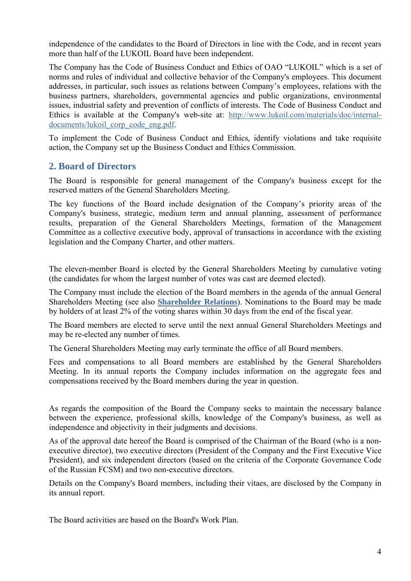independence of the candidates to the Board of Directors in line with the Code, and in recent years more than half of the LUKOIL Board have been independent.

The Company has the Code of Business Conduct and Ethics of OAO "LUKOIL" which is a set of norms and rules of individual and collective behavior of the Company's employees. This document addresses, in particular, such issues as relations between Company's employees, relations with the business partners, shareholders, governmental agencies and public organizations, environmental issues, industrial safety and prevention of conflicts of interests. The Code of Business Conduct and Ethics is available at the Company's web-site at: [http://www.lukoil.com/materials/doc/internal](http://www.lukoil.com/materials/doc/internal-documents/lukoil_corp_code_eng.pdf)[documents/lukoil\\_corp\\_code\\_eng.pdf.](http://www.lukoil.com/materials/doc/internal-documents/lukoil_corp_code_eng.pdf)

To implement the Code of Business Conduct and Ethics*,* identify violations and take requisite action, the Company set up the Business Conduct and Ethics Commission.

### <span id="page-3-0"></span>**2. Board of Directors**

The Board is responsible for general management of the Company's business except for the reserved matters of the General Shareholders Meeting.

The key functions of the Board include designation of the Company's priority areas of the Company's business, strategic, medium term and annual planning, assessment of performance results, preparation of the General Shareholders Meetings, formation of the Management Committee as a collective executive body, approval of transactions in accordance with the existing legislation and the Company Charter, and other matters.

The eleven-member Board is elected by the General Shareholders Meeting by cumulative voting (the candidates for whom the largest number of votes was cast are deemed elected).

The Company must include the election of the Board members in the agenda of the annual General Shareholders Meeting (see also **[Shareholder Relations](#page-15-1)**). Nominations to the Board may be made by holders of at least 2% of the voting shares within 30 days from the end of the fiscal year.

The Board members are elected to serve until the next annual General Shareholders Meetings and may be re-elected any number of times.

The General Shareholders Meeting may early terminate the office of all Board members.

Fees and compensations to all Board members are established by the General Shareholders Meeting. In its annual reports the Company includes information on the aggregate fees and compensations received by the Board members during the year in question.

As regards the composition of the Board the Company seeks to maintain the necessary balance between the experience, professional skills, knowledge of the Company's business, as well as independence and objectivity in their judgments and decisions.

As of the approval date hereof the Board is comprised of the Chairman of the Board (who is a nonexecutive director), two executive directors (President of the Company and the First Executive Vice President), and six independent directors (based on the criteria of the Corporate Governance Code of the Russian FCSM) and two non-executive directors.

Details on the Company's Board members, including their vitaes, are disclosed by the Company in its annual report.

The Board activities are based on the Board's Work Plan.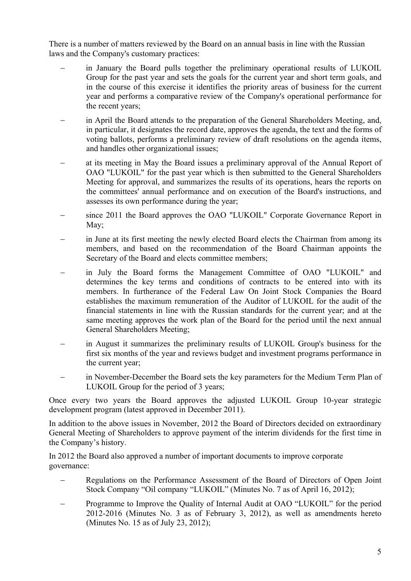There is a number of matters reviewed by the Board on an annual basis in line with the Russian laws and the Company's customary practices:

- in January the Board pulls together the preliminary operational results of LUKOIL Group for the past year and sets the goals for the current year and short term goals, and in the course of this exercise it identifies the priority areas of business for the current year and performs a comparative review of the Company's operational performance for the recent years;
- in April the Board attends to the preparation of the General Shareholders Meeting, and, in particular, it designates the record date, approves the agenda, the text and the forms of voting ballots, performs a preliminary review of draft resolutions on the agenda items, and handles other organizational issues;
- at its meeting in May the Board issues a preliminary approval of the Annual Report of OAO "LUKOIL" for the past year which is then submitted to the General Shareholders Meeting for approval, and summarizes the results of its operations, hears the reports on the committees' annual performance and on execution of the Board's instructions, and assesses its own performance during the year;
- since 2011 the Board approves the OAO "LUKOIL" Corporate Governance Report in May;
- in June at its first meeting the newly elected Board elects the Chairman from among its members, and based on the recommendation of the Board Chairman appoints the Secretary of the Board and elects committee members;
- in July the Board forms the Management Committee of OAO "LUKOIL" and determines the key terms and conditions of contracts to be entered into with its members. In furtherance of the Federal Law On Joint Stock Companies the Board establishes the maximum remuneration of the Auditor of LUKOIL for the audit of the financial statements in line with the Russian standards for the current year; and at the same meeting approves the work plan of the Board for the period until the next annual General Shareholders Meeting;
- in August it summarizes the preliminary results of LUKOIL Group's business for the first six months of the year and reviews budget and investment programs performance in the current year;
- in November-December the Board sets the key parameters for the Medium Term Plan of LUKOIL Group for the period of 3 years;

Once every two years the Board approves the adjusted LUKOIL Group 10-year strategic development program (latest approved in December 2011).

In addition to the above issues in November, 2012 the Board of Directors decided on extraordinary General Meeting of Shareholders to approve payment of the interim dividends for the first time in the Company's history.

In 2012 the Board also approved a number of important documents to improve corporate governance:

- Regulations on the Performance Assessment of the Board of Directors of Open Joint Stock Company "Oil company "LUKOIL" (Minutes No. 7 as of April 16, 2012);
- Programme to Improve the Quality of Internal Audit at OAO "LUKOIL" for the period 2012-2016 (Minutes No. 3 as of February 3, 2012), as well as amendments hereto (Minutes No. 15 as of July 23, 2012);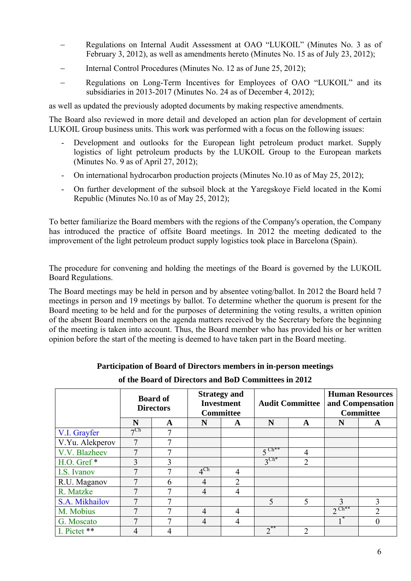- Regulations on Internal Audit Assessment at OAO "LUKOIL" (Minutes No. 3 as of February 3, 2012), as well as amendments hereto (Minutes No. 15 as of July 23, 2012);
- Internal Control Procedures (Minutes No. 12 as of June 25, 2012);
- Regulations on Long-Term Incentives for Employees of OAO "LUKOIL" and its subsidiaries in 2013-2017 (Minutes No. 24 as of December 4, 2012);

as well as updated the previously adopted documents by making respective amendments.

The Board also reviewed in more detail and developed an action plan for development of certain LUKOIL Group business units. This work was performed with a focus on the following issues:

- Development and outlooks for the European light petroleum product market. Supply logistics of light petroleum products by the LUKOIL Group to the European markets (Minutes No. 9 as of April 27, 2012);
- On international hydrocarbon production projects (Minutes No.10 as of May 25, 2012);
- On further development of the subsoil block at the Yaregskoye Field located in the Komi Republic (Minutes No.10 as of May 25, 2012);

To better familiarize the Board members with the regions of the Company's operation, the Company has introduced the practice of offsite Board meetings. In 2012 the meeting dedicated to the improvement of the light petroleum product supply logistics took place in Barcelona (Spain).

The procedure for convening and holding the meetings of the Board is governed by the LUKOIL Board Regulations.

The Board meetings may be held in person and by absentee voting/ballot. In 2012 the Board held 7 meetings in person and 19 meetings by ballot. To determine whether the quorum is present for the Board meeting to be held and for the purposes of determining the voting results, a written opinion of the absent Board members on the agenda matters received by the Secretary before the beginning of the meeting is taken into account. Thus, the Board member who has provided his or her written opinion before the start of the meeting is deemed to have taken part in the Board meeting.

#### **Participation of Board of Directors members in in-person meetings**

**of the Board of Directors and BoD Committees in 2012** 

|                 | <b>Board of</b><br><b>Directors</b> |   | <b>Strategy and</b><br><b>Investment</b><br><b>Committee</b> |                | <b>Audit Committee</b> |                             | <b>Human Resources</b><br>and Compensation<br><b>Committee</b> |                |
|-----------------|-------------------------------------|---|--------------------------------------------------------------|----------------|------------------------|-----------------------------|----------------------------------------------------------------|----------------|
|                 | N                                   | A | N                                                            | A              | N                      | A                           | N                                                              | A              |
| V.I. Grayfer    | $\neg$ Ch                           | 7 |                                                              |                |                        |                             |                                                                |                |
| V.Yu. Alekperov |                                     | ┑ |                                                              |                |                        |                             |                                                                |                |
| V.V. Blazheev   | 7                                   | 7 |                                                              |                | $5^{\text{Ch}**}$      | 4                           |                                                                |                |
| H.O. Gref*      | 3                                   | 3 |                                                              |                | $3^{\text{Ch*}}$       | $\overline{2}$              |                                                                |                |
| I.S. Ivanov     | 7                                   | 7 | $4^{\text{Ch}}$                                              | $\overline{4}$ |                        |                             |                                                                |                |
| R.U. Maganov    |                                     | 6 | 4                                                            | $\overline{2}$ |                        |                             |                                                                |                |
| R. Matzke       | 7                                   | 7 | $\overline{4}$                                               | $\overline{4}$ |                        |                             |                                                                |                |
| S.A. Mikhailov  |                                     |   |                                                              |                | 5                      | 5                           | 3                                                              | 3              |
| M. Mobius       | 7                                   |   | $\overline{4}$                                               | 4              |                        |                             | $2^{\text{Ch}**}$                                              | $\mathfrak{D}$ |
| G. Moscato      |                                     |   | $\overline{4}$                                               | 4              |                        |                             |                                                                | 0              |
| I. Pictet **    | 4                                   |   |                                                              |                | $2^{**}$               | $\mathcal{D}_{\mathcal{A}}$ |                                                                |                |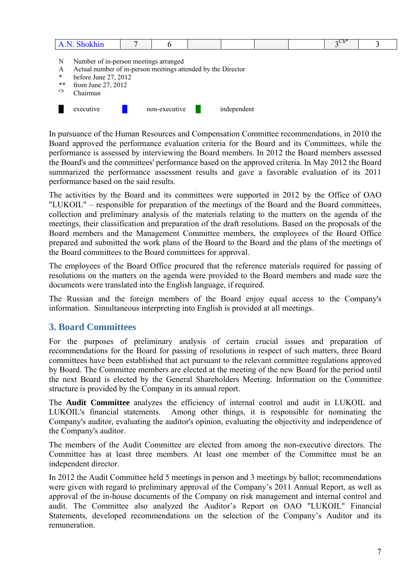| phonini |  |  |  | $T_{\rm h*}$<br>7 U.I<br>$\sim$ $\sim$ $\sim$ $\sim$ $\sim$ |  |
|---------|--|--|--|-------------------------------------------------------------|--|
|         |  |  |  |                                                             |  |

- N Number of in-person meetings arranged
- A Actual number of in-person meetings attended by the Director
- \* before June 27, 2012<br>\*\* from June 27, 2012
- \*\* from June 27, 2012
- Ch Chairman



In pursuance of the Human Resources and Compensation Committee recommendations, in 2010 the Board approved the performance evaluation criteria for the Board and its Committees, while the performance is assessed by interviewing the Board members. In 2012 the Board members assessed the Board's and the committees' performance based on the approved criteria. In May 2012 the Board summarized the performance assessment results and gave a favorable evaluation of its 2011 performance based on the said results.

The activities by the Board and its committees were supported in 2012 by the Office of OAO "LUKOIL" – responsible for preparation of the meetings of the Board and the Board committees, collection and preliminary analysis of the materials relating to the matters on the agenda of the meetings, their classification and preparation of the draft resolutions. Based on the proposals of the Board members and the Management Committee members, the employees of the Board Office prepared and submitted the work plans of the Board to the Board and the plans of the meetings of the Board committees to the Board committees for approval.

The employees of the Board Office procured that the reference materials required for passing of resolutions on the matters on the agenda were provided to the Board members and made sure the documents were translated into the English language, if required.

The Russian and the foreign members of the Board enjoy equal access to the Company's information. Simultaneous interpreting into English is provided at all meetings.

### <span id="page-6-0"></span>**3. Board Committees**

For the purposes of preliminary analysis of certain crucial issues and preparation of recommendations for the Board for passing of resolutions in respect of such matters, three Board committees have been established that act pursuant to the relevant committee regulations approved by Board. The Committee members are elected at the meeting of the new Board for the period until the next Board is elected by the General Shareholders Meeting. Information on the Committee structure is provided by the Company in its annual report.

The **Audit Committee** analyzes the efficiency of internal control and audit in LUKOIL and LUKOIL's financial statements. Among other things, it is responsible for nominating the Company's auditor, evaluating the auditor's opinion, evaluating the objectivity and independence of the Company's auditor.

The members of the Audit Committee are elected from among the non-executive directors. The Committee has at least three members. At least one member of the Committee must be an independent director.

In 2012 the Audit Committee held 5 meetings in person and 3 meetings by ballot; recommendations were given with regard to preliminary approval of the Company's 2011 Annual Report, as well as approval of the in-house documents of the Company on risk management and internal control and audit. The Committee also analyzed the Auditor's Report on OAO "LUKOIL" Financial Statements, developed recommendations on the selection of the Company's Auditor and its remuneration.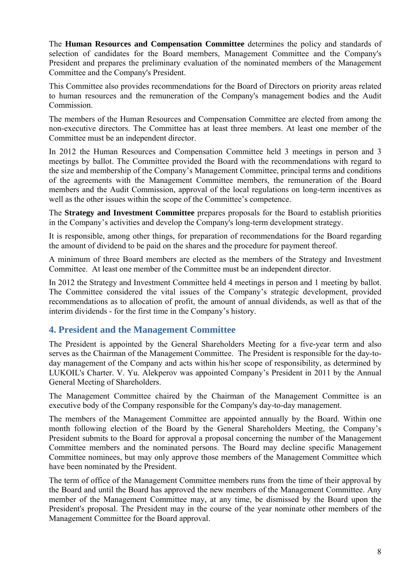The **Human Resources and Compensation Committee** determines the policy and standards of selection of candidates for the Board members, Management Committee and the Company's President and prepares the preliminary evaluation of the nominated members of the Management Committee and the Company's President.

This Committee also provides recommendations for the Board of Directors on priority areas related to human resources and the remuneration of the Company's management bodies and the Audit Commission.

The members of the Human Resources and Compensation Committee are elected from among the non-executive directors. The Committee has at least three members. At least one member of the Committee must be an independent director.

In 2012 the Human Resources and Compensation Committee held 3 meetings in person and 3 meetings by ballot. The Committee provided the Board with the recommendations with regard to the size and membership of the Company's Management Committee, principal terms and conditions of the agreements with the Management Committee members, the remuneration of the Board members and the Audit Commission, approval of the local regulations on long-term incentives as well as the other issues within the scope of the Committee's competence.

The **Strategy and Investment Committee** prepares proposals for the Board to establish priorities in the Company's activities and develop the Company's long-term development strategy.

It is responsible, among other things, for preparation of recommendations for the Board regarding the amount of dividend to be paid on the shares and the procedure for payment thereof.

A minimum of three Board members are elected as the members of the Strategy and Investment Committee. At least one member of the Committee must be an independent director.

In 2012 the Strategy and Investment Committee held 4 meetings in person and 1 meeting by ballot. The Committee considered the vital issues of the Company's strategic development, provided recommendations as to allocation of profit, the amount of annual dividends, as well as that of the interim dividends - for the first time in the Company's history.

# <span id="page-7-0"></span>**4. President and the Management Committee**

The President is appointed by the General Shareholders Meeting for a five-year term and also serves as the Chairman of the Management Committee. The President is responsible for the day-today management of the Company and acts within his/her scope of responsibility, as determined by LUKOIL's Charter. V. Yu. Alekperov was appointed Company's President in 2011 by the Annual General Meeting of Shareholders.

The Management Committee chaired by the Chairman of the Management Committee is an executive body of the Company responsible for the Company's day-to-day management.

The members of the Management Committee are appointed annually by the Board. Within one month following election of the Board by the General Shareholders Meeting, the Company's President submits to the Board for approval a proposal concerning the number of the Management Committee members and the nominated persons. The Board may decline specific Management Committee nominees, but may only approve those members of the Management Committee which have been nominated by the President.

The term of office of the Management Committee members runs from the time of their approval by the Board and until the Board has approved the new members of the Management Committee. Any member of the Management Committee may, at any time, be dismissed by the Board upon the President's proposal. The President may in the course of the year nominate other members of the Management Committee for the Board approval.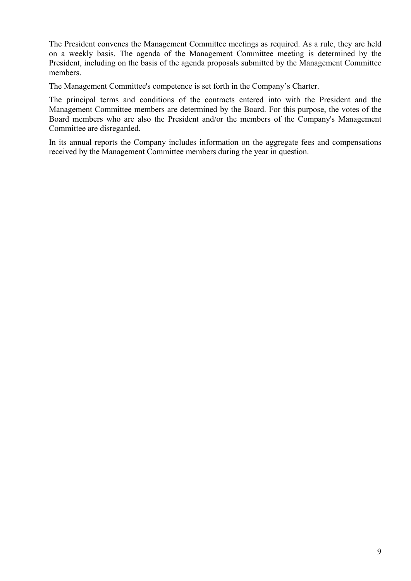The President convenes the Management Committee meetings as required. As a rule, they are held on a weekly basis. The agenda of the Management Committee meeting is determined by the President, including on the basis of the agenda proposals submitted by the Management Committee members.

The Management Committee's competence is set forth in the Company's Charter.

The principal terms and conditions of the contracts entered into with the President and the Management Committee members are determined by the Board. For this purpose, the votes of the Board members who are also the President and/or the members of the Company's Management Committee are disregarded.

In its annual reports the Company includes information on the aggregate fees and compensations received by the Management Committee members during the year in question.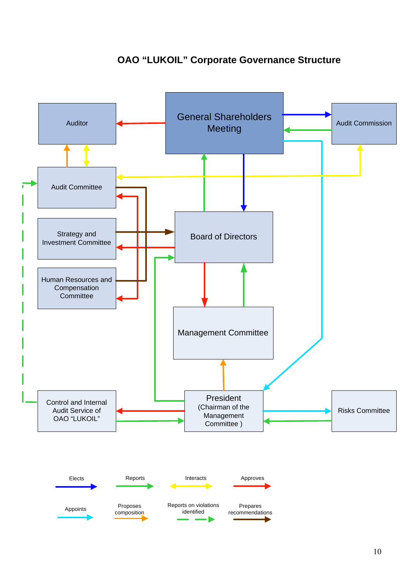# **OAO "LUKOIL" Corporate Governance Structure**

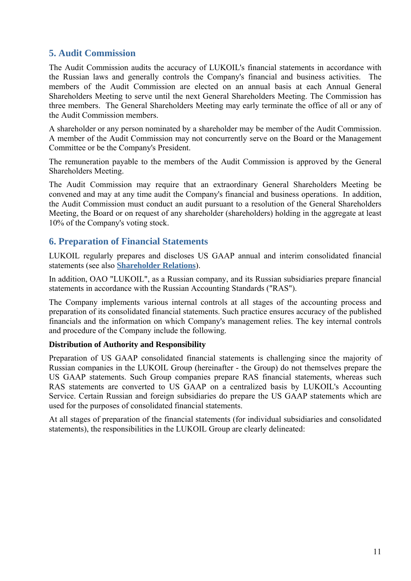# **5. Audit Commission**

The Audit Commission audits the accuracy of LUKOIL's financial statements in accordance with the Russian laws and generally controls the Company's financial and business activities. The members of the Audit Commission are elected on an annual basis at each Annual General Shareholders Meeting to serve until the next General Shareholders Meeting. The Commission has three members. The General Shareholders Meeting may early terminate the office of all or any of the Audit Commission members.

A shareholder or any person nominated by a shareholder may be member of the Audit Commission. A member of the Audit Commission may not concurrently serve on the Board or the Management Committee or be the Company's President.

<span id="page-10-0"></span>The remuneration payable to the members of the Audit Commission is approved by the General Shareholders Meeting.

The Audit Commission may require that an extraordinary General Shareholders Meeting be convened and may at any time audit the Company's financial and business operations. In addition, the Audit Commission must conduct an audit pursuant to a resolution of the General Shareholders Meeting, the Board or on request of any shareholder (shareholders) holding in the aggregate at least 10% of the Company's voting stock.

### <span id="page-10-1"></span>**6. Preparation of Financial Statements**

LUKOIL regularly prepares and discloses US GAAP annual and interim consolidated financial statements (see also **[Shareholder Relations](#page-15-1)**).

In addition, OAO "LUKOIL", as a Russian company, and its Russian subsidiaries prepare financial statements in accordance with the Russian Accounting Standards ("RAS").

The Company implements various internal controls at all stages of the accounting process and preparation of its consolidated financial statements. Such practice ensures accuracy of the published financials and the information on which Company's management relies. The key internal controls and procedure of the Company include the following.

#### **Distribution of Authority and Responsibility**

Preparation of US GAAP consolidated financial statements is challenging since the majority of Russian companies in the LUKOIL Group (hereinafter - the Group) do not themselves prepare the US GAAP statements. Such Group companies prepare RAS financial statements, whereas such RAS statements are converted to US GAAP on a centralized basis by LUKOIL's Accounting Service. Certain Russian and foreign subsidiaries do prepare the US GAAP statements which are used for the purposes of consolidated financial statements.

At all stages of preparation of the financial statements (for individual subsidiaries and consolidated statements), the responsibilities in the LUKOIL Group are clearly delineated: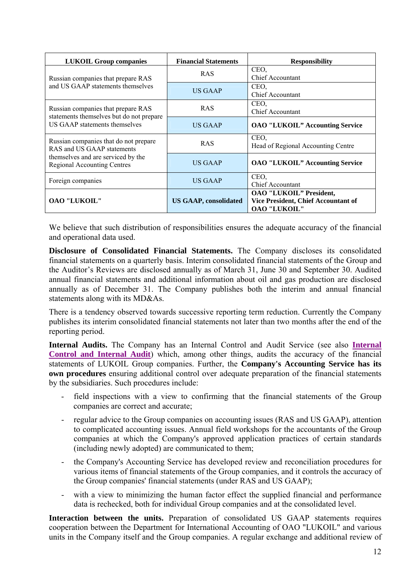| <b>LUKOIL Group companies</b>                                                  | <b>Financial Statements</b>  | <b>Responsibility</b>                                                                               |
|--------------------------------------------------------------------------------|------------------------------|-----------------------------------------------------------------------------------------------------|
| Russian companies that prepare RAS<br>and US GAAP statements themselves        | <b>RAS</b>                   | CEO,<br><b>Chief Accountant</b>                                                                     |
|                                                                                | <b>US GAAP</b>               | CEO,<br><b>Chief Accountant</b>                                                                     |
| Russian companies that prepare RAS<br>statements themselves but do not prepare | <b>RAS</b>                   | CEO.<br><b>Chief Accountant</b>                                                                     |
| US GAAP statements themselves                                                  | US GAAP                      | <b>OAO "LUKOIL" Accounting Service</b>                                                              |
| Russian companies that do not prepare<br>RAS and US GAAP statements            | <b>RAS</b>                   | CEO,<br>Head of Regional Accounting Centre                                                          |
| themselves and are serviced by the<br><b>Regional Accounting Centres</b>       | <b>US GAAP</b>               | <b>OAO "LUKOIL" Accounting Service</b>                                                              |
| Foreign companies                                                              | US GAAP                      | CEO.<br><b>Chief Accountant</b>                                                                     |
| <b>OAO "LUKOIL"</b>                                                            | <b>US GAAP, consolidated</b> | <b>OAO "LUKOIL" President,</b><br><b>Vice President, Chief Accountant of</b><br><b>OAO "LUKOIL"</b> |

We believe that such distribution of responsibilities ensures the adequate accuracy of the financial and operational data used.

**Disclosure of Consolidated Financial Statements.** The Company discloses its consolidated financial statements on a quarterly basis. Interim consolidated financial statements of the Group and the Auditor's Reviews are disclosed annually as of March 31, June 30 and September 30. Audited annual financial statements and additional information about oil and gas production are disclosed annually as of December 31. The Company publishes both the interim and annual financial statements along with its MD&As.

There is a tendency observed towards successive reporting term reduction. Currently the Company publishes its interim consolidated financial statements not later than two months after the end of the reporting period.

**Internal Audits.** The Company has an Internal Control and Audit Service (see also **[Internal](#page-13-0)  [Control and Internal Audit](#page-13-0)**) which, among other things, audits the accuracy of the financial statements of LUKOIL Group companies. Further, the **Company's Accounting Service has its own procedures** ensuring additional control over adequate preparation of the financial statements by the subsidiaries. Such procedures include:

- field inspections with a view to confirming that the financial statements of the Group companies are correct and accurate;
- regular advice to the Group companies on accounting issues (RAS and US GAAP), attention to complicated accounting issues. Annual field workshops for the accountants of the Group companies at which the Company's approved application practices of certain standards (including newly adopted) are communicated to them;
- the Company's Accounting Service has developed review and reconciliation procedures for various items of financial statements of the Group companies, and it controls the accuracy of the Group companies' financial statements (under RAS and US GAAP);
- with a view to minimizing the human factor effect the supplied financial and performance data is rechecked, both for individual Group companies and at the consolidated level.

**Interaction between the units.** Preparation of consolidated US GAAP statements requires cooperation between the Department for International Accounting of OAO "LUKOIL" and various units in the Company itself and the Group companies. A regular exchange and additional review of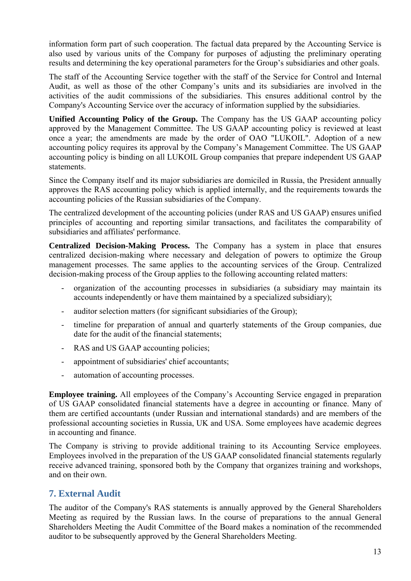information form part of such cooperation. The factual data prepared by the Accounting Service is also used by various units of the Company for purposes of adjusting the preliminary operating results and determining the key operational parameters for the Group's subsidiaries and other goals.

The staff of the Accounting Service together with the staff of the Service for Control and Internal Audit, as well as those of the other Company's units and its subsidiaries are involved in the activities of the audit commissions of the subsidiaries. This ensures additional control by the Company's Accounting Service over the accuracy of information supplied by the subsidiaries.

**Unified Accounting Policy of the Group.** The Company has the US GAAP accounting policy approved by the Management Committee. The US GAAP accounting policy is reviewed at least once a year; the amendments are made by the order of OAO "LUKOIL". Adoption of a new accounting policy requires its approval by the Company's Management Committee. The US GAAP accounting policy is binding on all LUKOIL Group companies that prepare independent US GAAP statements.

Since the Company itself and its major subsidiaries are domiciled in Russia, the President annually approves the RAS accounting policy which is applied internally, and the requirements towards the accounting policies of the Russian subsidiaries of the Company.

The centralized development of the accounting policies (under RAS and US GAAP) ensures unified principles of accounting and reporting similar transactions, and facilitates the comparability of subsidiaries and affiliates' performance.

**Centralized Decision-Making Process.** The Company has a system in place that ensures centralized decision-making where necessary and delegation of powers to optimize the Group management processes. The same applies to the accounting services of the Group. Centralized decision-making process of the Group applies to the following accounting related matters:

- organization of the accounting processes in subsidiaries (a subsidiary may maintain its accounts independently or have them maintained by a specialized subsidiary);
- auditor selection matters (for significant subsidiaries of the Group);
- timeline for preparation of annual and quarterly statements of the Group companies, due date for the audit of the financial statements;
- RAS and US GAAP accounting policies;
- appointment of subsidiaries' chief accountants;
- automation of accounting processes.

**Employee training.** All employees of the Company's Accounting Service engaged in preparation of US GAAP consolidated financial statements have a degree in accounting or finance. Many of them are certified accountants (under Russian and international standards) and are members of the professional accounting societies in Russia, UK and USA. Some employees have academic degrees in accounting and finance.

The Company is striving to provide additional training to its Accounting Service employees. Employees involved in the preparation of the US GAAP consolidated financial statements regularly receive advanced training, sponsored both by the Company that organizes training and workshops, and on their own.

# <span id="page-12-0"></span>**7. External Audit**

The auditor of the Company's RAS statements is annually approved by the General Shareholders Meeting as required by the Russian laws. In the course of preparations to the annual General Shareholders Meeting the Audit Committee of the Board makes a nomination of the recommended auditor to be subsequently approved by the General Shareholders Meeting.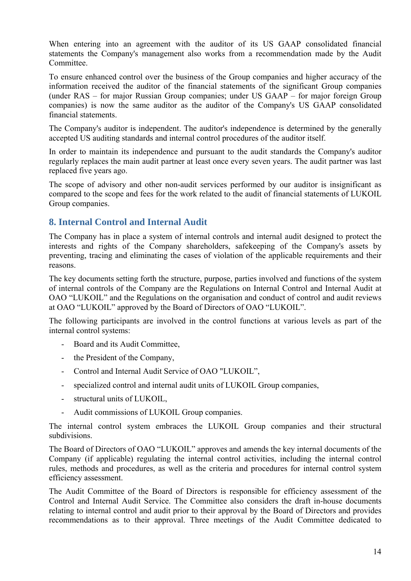When entering into an agreement with the auditor of its US GAAP consolidated financial statements the Company's management also works from a recommendation made by the Audit Committee.

To ensure enhanced control over the business of the Group companies and higher accuracy of the information received the auditor of the financial statements of the significant Group companies (under RAS – for major Russian Group companies; under US GAAP – for major foreign Group companies) is now the same auditor as the auditor of the Company's US GAAP consolidated financial statements.

The Company's auditor is independent. The auditor's independence is determined by the generally accepted US auditing standards and internal control procedures of the auditor itself.

In order to maintain its independence and pursuant to the audit standards the Company's auditor regularly replaces the main audit partner at least once every seven years. The audit partner was last replaced five years ago.

The scope of advisory and other non-audit services performed by our auditor is insignificant as compared to the scope and fees for the work related to the audit of financial statements of LUKOIL Group companies.

# <span id="page-13-0"></span>**8. Internal Control and Internal Audit**

The Company has in place a system of internal controls and internal audit designed to protect the interests and rights of the Company shareholders, safekeeping of the Company's assets by preventing, tracing and eliminating the cases of violation of the applicable requirements and their reasons.

The key documents setting forth the structure, purpose, parties involved and functions of the system of internal controls of the Company are the Regulations on Internal Control and Internal Audit at OAO "LUKOIL" and the Regulations on the organisation and conduct of control and audit reviews at OAO "LUKOIL" approved by the Board of Directors of OAO "LUKOIL".

The following participants are involved in the control functions at various levels as part of the internal control systems:

- Board and its Audit Committee,
- the President of the Company,
- Control and Internal Audit Service of OAO "LUKOIL",
- specialized control and internal audit units of LUKOIL Group companies,
- structural units of LUKOIL,
- Audit commissions of LUKOIL Group companies.

The internal control system embraces the LUKOIL Group companies and their structural subdivisions.

The Board of Directors of OAO "LUKOIL" approves and amends the key internal documents of the Company (if applicable) regulating the internal control activities, including the internal control rules, methods and procedures, as well as the criteria and procedures for internal control system efficiency assessment.

The Audit Committee of the Board of Directors is responsible for efficiency assessment of the Control and Internal Audit Service. The Committee also considers the draft in-house documents relating to internal control and audit prior to their approval by the Board of Directors and provides recommendations as to their approval. Three meetings of the Audit Committee dedicated to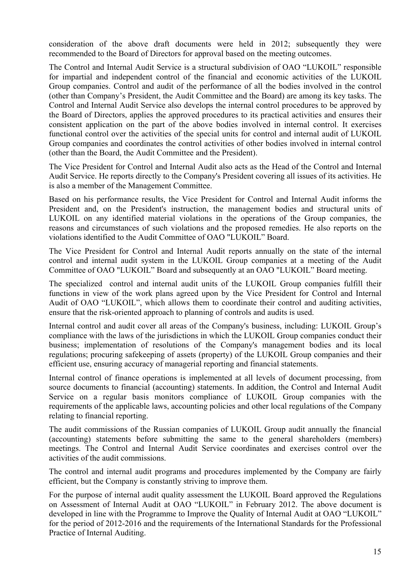consideration of the above draft documents were held in 2012; subsequently they were recommended to the Board of Directors for approval based on the meeting outcomes.

The Control and Internal Audit Service is a structural subdivision of OAO "LUKOIL" responsible for impartial and independent control of the financial and economic activities of the LUKOIL Group companies. Control and audit of the performance of all the bodies involved in the control (other than Company's President, the Audit Committee and the Board) are among its key tasks. The Control and Internal Audit Service also develops the internal control procedures to be approved by the Board of Directors, applies the approved procedures to its practical activities and ensures their consistent application on the part of the above bodies involved in internal control. It exercises functional control over the activities of the special units for control and internal audit of LUKOIL Group companies and coordinates the control activities of other bodies involved in internal control (other than the Board, the Audit Committee and the President).

The Vice President for Control and Internal Audit also acts as the Head of the Control and Internal Audit Service. He reports directly to the Company's President covering all issues of its activities. He is also a member of the Management Committee.

Based on his performance results, the Vice President for Control and Internal Audit informs the President and, on the President's instruction, the management bodies and structural units of LUKOIL on any identified material violations in the operations of the Group companies, the reasons and circumstances of such violations and the proposed remedies. He also reports on the violations identified to the Audit Committee of OAO "LUKOIL" Board.

The Vice President for Control and Internal Audit reports annually on the state of the internal control and internal audit system in the LUKOIL Group companies at a meeting of the Audit Committee of OAO "LUKOIL" Board and subsequently at an OAO "LUKOIL" Board meeting.

The specialized control and internal audit units of the LUKOIL Group companies fulfill their functions in view of the work plans agreed upon by the Vice President for Control and Internal Audit of OAO "LUKOIL", which allows them to coordinate their control and auditing activities, ensure that the risk-oriented approach to planning of controls and audits is used.

Internal control and audit cover all areas of the Company's business, including: LUKOIL Group's compliance with the laws of the jurisdictions in which the LUKOIL Group companies conduct their business; implementation of resolutions of the Company's management bodies and its local regulations; procuring safekeeping of assets (property) of the LUKOIL Group companies and their efficient use, ensuring accuracy of managerial reporting and financial statements.

Internal control of finance operations is implemented at all levels of document processing, from source documents to financial (accounting) statements. In addition, the Control and Internal Audit Service on a regular basis monitors compliance of LUKOIL Group companies with the requirements of the applicable laws, accounting policies and other local regulations of the Company relating to financial reporting.

The audit commissions of the Russian companies of LUKOIL Group audit annually the financial (accounting) statements before submitting the same to the general shareholders (members) meetings. The Control and Internal Audit Service coordinates and exercises control over the activities of the audit commissions.

The control and internal audit programs and procedures implemented by the Company are fairly efficient, but the Company is constantly striving to improve them.

For the purpose of internal audit quality assessment the LUKOIL Board approved the Regulations on Assessment of Internal Audit at OAO "LUKOIL" in February 2012. The above document is developed in line with the Programme to Improve the Quality of Internal Audit at OAO "LUKOIL" for the period of 2012-2016 and the requirements of the International Standards for the Professional Practice of Internal Auditing.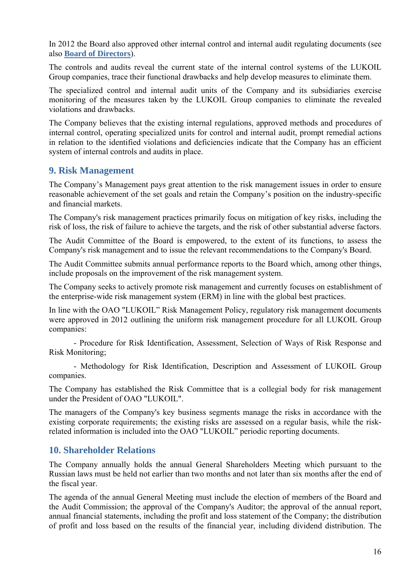In 2012 the Board also approved other internal control and internal audit regulating documents (see also **[Board of Directors](#page-3-0)**).

The controls and audits reveal the current state of the internal control systems of the LUKOIL Group companies, trace their functional drawbacks and help develop measures to eliminate them.

The specialized control and internal audit units of the Company and its subsidiaries exercise monitoring of the measures taken by the LUKOIL Group companies to eliminate the revealed violations and drawbacks.

The Company believes that the existing internal regulations, approved methods and procedures of internal control, operating specialized units for control and internal audit, prompt remedial actions in relation to the identified violations and deficiencies indicate that the Company has an efficient system of internal controls and audits in place.

### <span id="page-15-0"></span>**9. Risk Management**

The Company's Management pays great attention to the risk management issues in order to ensure reasonable achievement of the set goals and retain the Company's position on the industry-specific and financial markets.

The Company's risk management practices primarily focus on mitigation of key risks, including the risk of loss, the risk of failure to achieve the targets, and the risk of other substantial adverse factors.

The Audit Committee of the Board is empowered, to the extent of its functions, to assess the Company's risk management and to issue the relevant recommendations to the Company's Board.

The Audit Committee submits annual performance reports to the Board which, among other things, include proposals on the improvement of the risk management system.

The Company seeks to actively promote risk management and currently focuses on establishment of the enterprise-wide risk management system (ERM) in line with the global best practices.

In line with the OAO "LUKOIL" Risk Management Policy, regulatory risk management documents were approved in 2012 outlining the uniform risk management procedure for all LUKOIL Group companies:

- Procedure for Risk Identification, Assessment, Selection of Ways of Risk Response and Risk Monitoring;

- Methodology for Risk Identification, Description and Assessment of LUKOIL Group companies.

The Company has established the Risk Committee that is a collegial body for risk management under the President of OAO "LUKOIL".

The managers of the Company's key business segments manage the risks in accordance with the existing corporate requirements; the existing risks are assessed on a regular basis, while the riskrelated information is included into the OAO "LUKOIL" periodic reporting documents.

### <span id="page-15-1"></span>**10. Shareholder Relations**

The Company annually holds the annual General Shareholders Meeting which pursuant to the Russian laws must be held not earlier than two months and not later than six months after the end of the fiscal year.

The agenda of the annual General Meeting must include the election of members of the Board and the Audit Commission; the approval of the Company's Auditor; the approval of the annual report, annual financial statements, including the profit and loss statement of the Company; the distribution of profit and loss based on the results of the financial year, including dividend distribution. The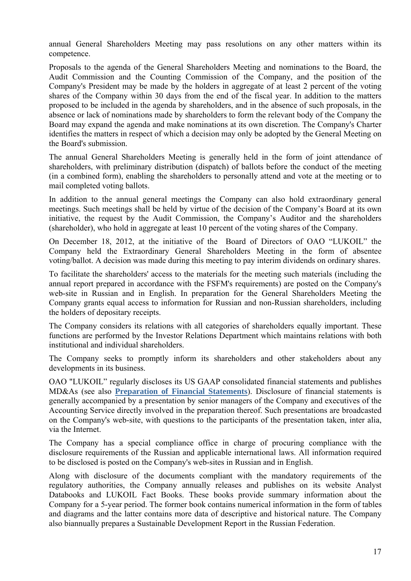annual General Shareholders Meeting may pass resolutions on any other matters within its competence.

Proposals to the agenda of the General Shareholders Meeting and nominations to the Board, the Audit Commission and the Counting Commission of the Company, and the position of the Company's President may be made by the holders in aggregate of at least 2 percent of the voting shares of the Company within 30 days from the end of the fiscal year. In addition to the matters proposed to be included in the agenda by shareholders, and in the absence of such proposals, in the absence or lack of nominations made by shareholders to form the relevant body of the Company the Board may expand the agenda and make nominations at its own discretion. The Company's Charter identifies the matters in respect of which a decision may only be adopted by the General Meeting on the Board's submission.

The annual General Shareholders Meeting is generally held in the form of joint attendance of shareholders, with preliminary distribution (dispatch) of ballots before the conduct of the meeting (in a combined form), enabling the shareholders to personally attend and vote at the meeting or to mail completed voting ballots.

In addition to the annual general meetings the Company can also hold extraordinary general meetings. Such meetings shall be held by virtue of the decision of the Company's Board at its own initiative, the request by the Audit Commission, the Company's Auditor and the shareholders (shareholder), who hold in aggregate at least 10 percent of the voting shares of the Company.

On December 18, 2012, at the initiative of the Board of Directors of OAO "LUKOIL" the Company held the Extraordinary General Shareholders Meeting in the form of absentee voting/ballot. A decision was made during this meeting to pay interim dividends on ordinary shares.

To facilitate the shareholders' access to the materials for the meeting such materials (including the annual report prepared in accordance with the FSFM's requirements) are posted on the Company's web-site in Russian and in English. In preparation for the General Shareholders Meeting the Company grants equal access to information for Russian and non-Russian shareholders, including the holders of depositary receipts.

The Company considers its relations with all categories of shareholders equally important. These functions are performed by the Investor Relations Department which maintains relations with both institutional and individual shareholders.

The Company seeks to promptly inform its shareholders and other stakeholders about any developments in its business.

OAO "LUKOIL" regularly discloses its US GAAP consolidated financial statements and publishes MD&As (see also **[Preparation of Financial Statements](#page-10-1)**). Disclosure of financial statements is generally accompanied by a presentation by senior managers of the Company and executives of the Accounting Service directly involved in the preparation thereof. Such presentations are broadcasted on the Company's web-site, with questions to the participants of the presentation taken, inter alia, via the Internet.

The Company has a special compliance office in charge of procuring compliance with the disclosure requirements of the Russian and applicable international laws. All information required to be disclosed is posted on the Company's web-sites in Russian and in English.

Along with disclosure of the documents compliant with the mandatory requirements of the regulatory authorities, the Company annually releases and publishes on its website Analyst Databooks and LUKOIL Fact Books. These books provide summary information about the Company for a 5-year period. The former book contains numerical information in the form of tables and diagrams and the latter contains more data of descriptive and historical nature. The Company also biannually prepares a Sustainable Development Report in the Russian Federation.